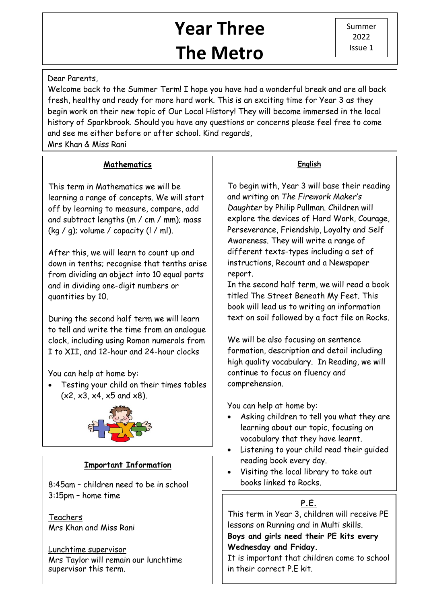# **Year Three The Metro**

## Dear Parents,

 history of Sparkbrook. Should you have any questions or concerns please feel free to come Welcome back to the Summer Term! I hope you have had a wonderful break and are all back fresh, healthy and ready for more hard work. This is an exciting time for Year 3 as they begin work on their new topic of Our Local History! They will become immersed in the local and see me either before or after school. Kind regards,

Mrs Khan & Miss Rani

## **Mathematics**

This term in Mathematics we will be learning a range of concepts. We will start off by learning to measure, compare, add and subtract lengths (m / cm / mm); mass (kg / g); volume / capacity ( $l$  / ml).

After this, we will learn to count up and down in tenths; recognise that tenths arise from dividing an object into 10 equal parts and in dividing one-digit numbers or quantities by 10.

During the second half term we will learn to tell and write the time from an analogue clock, including using Roman numerals from I to XII, and 12-hour and 24-hour clocks

You can help at home by:

 Testing your child on their times tables  $(x2, x3, x4, x5, and x8)$ .



# **Important Information**

8:45am – children need to be in school 3:15pm – home time

Teachers Mrs Khan and Miss Rani

Lunchtime supervisor Mrs Taylor will remain our lunchtime supervisor this term.

## **English**

To begin with, Year 3 will base their reading and writing on *The Firework Maker's Daughter* by Philip Pullman. Children will explore the devices of Hard Work, Courage, Perseverance, Friendship, Loyalty and Self Awareness. They will write a range of different texts-types including a set of instructions, Recount and a Newspaper report.

In the second half term, we will read a book titled The Street Beneath My Feet. This book will lead us to writing an information text on soil followed by a fact file on Rocks.

We will be also focusing on sentence formation, description and detail including high quality vocabulary. In Reading, we will continue to focus on fluency and comprehension.

You can help at home by:

- Asking children to tell you what they are learning about our topic, focusing on vocabulary that they have learnt.
- Listening to your child read their guided reading book every day.
- Visiting the local library to take out books linked to Rocks.

# **P.E.**

 This term in Year 3, children will receive PE lessons on Running and in Multi skills.

### **Boys and girls need their PE kits every Wednesday and Friday.**

It is important that children come to school in their correct P.E kit.